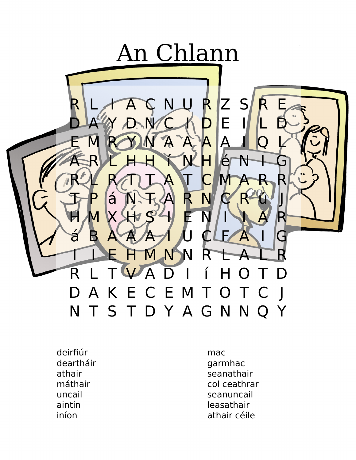

deirfiúr deartháir athair máthair uncail aintín iníon

mac garmhac seanathair col ceathrar seanuncail leasathair athair céile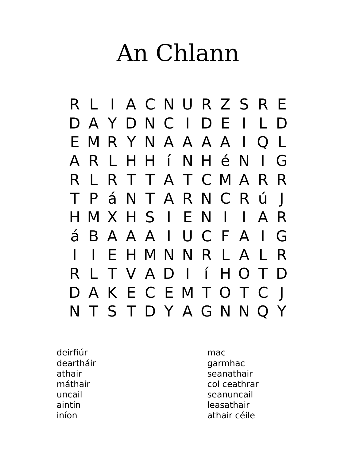## An Chlann



deirfiúr deartháir athair máthair uncail aintín iníon

mac garmhac seanathair col ceathrar seanuncail leasathair athair céile